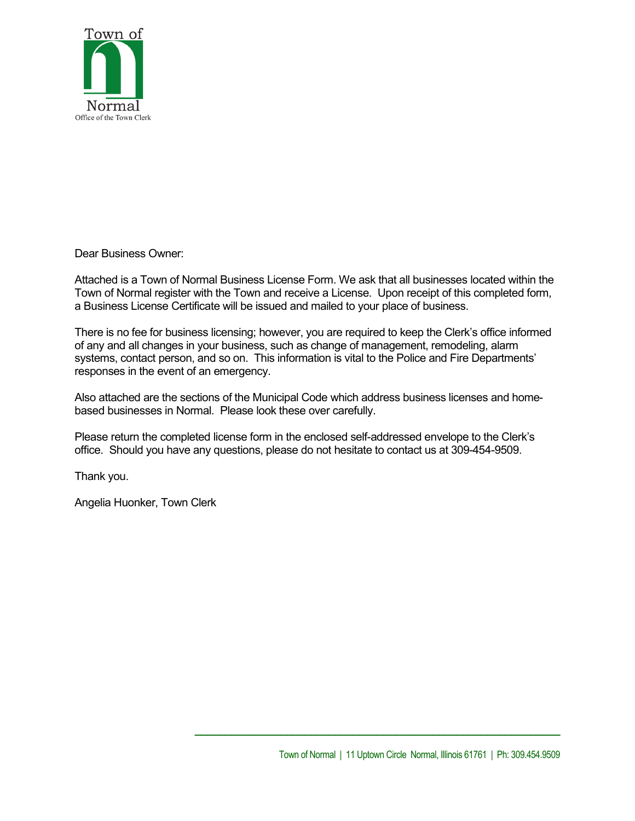

Dear Business Owner:

Attached is a Town of Normal Business License Form. We ask that all businesses located within the Town of Normal register with the Town and receive a License. Upon receipt of this completed form, a Business License Certificate will be issued and mailed to your place of business.

There is no fee for business licensing; however, you are required to keep the Clerk's office informed of any and all changes in your business, such as change of management, remodeling, alarm systems, contact person, and so on. This information is vital to the Police and Fire Departments' responses in the event of an emergency.

Also attached are the sections of the Municipal Code which address business licenses and homebased businesses in Normal. Please look these over carefully.

Please return the completed license form in the enclosed self-addressed envelope to the Clerk's office. Should you have any questions, please do not hesitate to contact us at 309-454-9509.

Thank you.

Angelia Huonker, Town Clerk

**\_\_\_\_\_\_\_\_\_\_\_\_\_\_\_\_\_\_\_\_\_\_\_\_\_\_\_\_\_\_\_\_\_\_\_\_\_\_\_\_\_\_\_\_\_\_\_\_\_\_\_\_\_\_\_\_\_\_\_\_**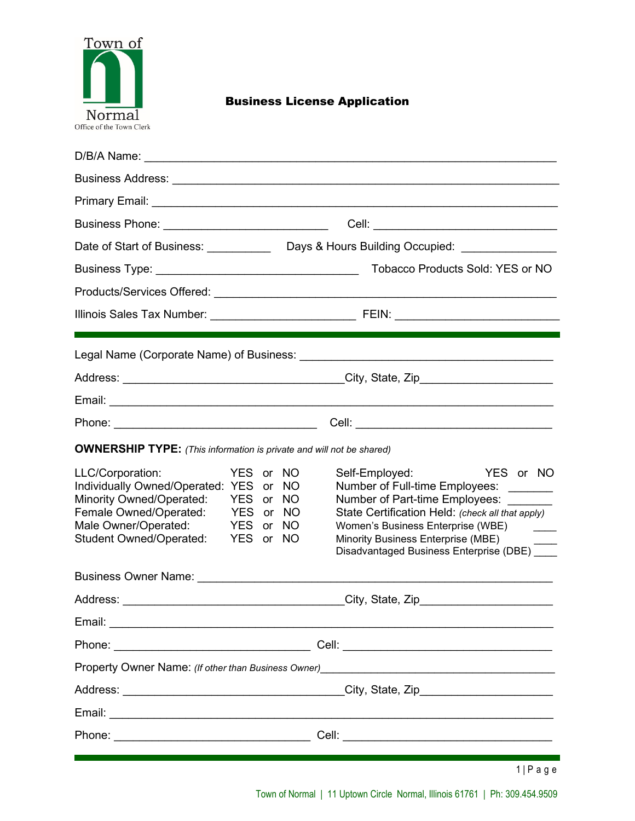

# Business License Application

|                                                                                                                                                                                                                                     | Business Phone: _____________________________                                                                                                                                                                                                                                                                                                                            |  |  |  |
|-------------------------------------------------------------------------------------------------------------------------------------------------------------------------------------------------------------------------------------|--------------------------------------------------------------------------------------------------------------------------------------------------------------------------------------------------------------------------------------------------------------------------------------------------------------------------------------------------------------------------|--|--|--|
|                                                                                                                                                                                                                                     | Date of Start of Business: __________________Days & Hours Building Occupied: ________________________________                                                                                                                                                                                                                                                            |  |  |  |
|                                                                                                                                                                                                                                     | Tobacco Products Sold: YES or NO                                                                                                                                                                                                                                                                                                                                         |  |  |  |
|                                                                                                                                                                                                                                     |                                                                                                                                                                                                                                                                                                                                                                          |  |  |  |
|                                                                                                                                                                                                                                     |                                                                                                                                                                                                                                                                                                                                                                          |  |  |  |
|                                                                                                                                                                                                                                     |                                                                                                                                                                                                                                                                                                                                                                          |  |  |  |
|                                                                                                                                                                                                                                     |                                                                                                                                                                                                                                                                                                                                                                          |  |  |  |
|                                                                                                                                                                                                                                     |                                                                                                                                                                                                                                                                                                                                                                          |  |  |  |
|                                                                                                                                                                                                                                     |                                                                                                                                                                                                                                                                                                                                                                          |  |  |  |
|                                                                                                                                                                                                                                     | <b>OWNERSHIP TYPE:</b> (This information is private and will not be shared)                                                                                                                                                                                                                                                                                              |  |  |  |
| LLC/Corporation:<br>Individually Owned/Operated: YES or NO<br><b>Minority Owned/Operated:</b><br>Female Owned/Operated:<br>Male Owner/Operated:<br><b>Student Owned/Operated:</b>                                                   | Self-Employed: YES or NO<br>YES or NO<br>Number of Full-time Employees: _______<br>YES or NO<br>Number of Part-time Employees: _______<br>State Certification Held: (check all that apply)<br>YES or NO<br>YES or NO<br>Women's Business Enterprise (WBE)<br>$\frac{1}{1}$<br>YES or NO<br>Minority Business Enterprise (MBE)<br>Disadvantaged Business Enterprise (DBE) |  |  |  |
| <b>Business Owner Name:</b> The Contract of the Contract of the Contract of the Contract of the Contract of the Contract of the Contract of the Contract of the Contract of the Contract of the Contract of the Contract of the Con |                                                                                                                                                                                                                                                                                                                                                                          |  |  |  |
| Address:                                                                                                                                                                                                                            | City, State, Zip                                                                                                                                                                                                                                                                                                                                                         |  |  |  |
|                                                                                                                                                                                                                                     |                                                                                                                                                                                                                                                                                                                                                                          |  |  |  |
|                                                                                                                                                                                                                                     |                                                                                                                                                                                                                                                                                                                                                                          |  |  |  |
|                                                                                                                                                                                                                                     |                                                                                                                                                                                                                                                                                                                                                                          |  |  |  |
|                                                                                                                                                                                                                                     |                                                                                                                                                                                                                                                                                                                                                                          |  |  |  |
|                                                                                                                                                                                                                                     |                                                                                                                                                                                                                                                                                                                                                                          |  |  |  |
|                                                                                                                                                                                                                                     |                                                                                                                                                                                                                                                                                                                                                                          |  |  |  |
|                                                                                                                                                                                                                                     | $1 P$ a g e                                                                                                                                                                                                                                                                                                                                                              |  |  |  |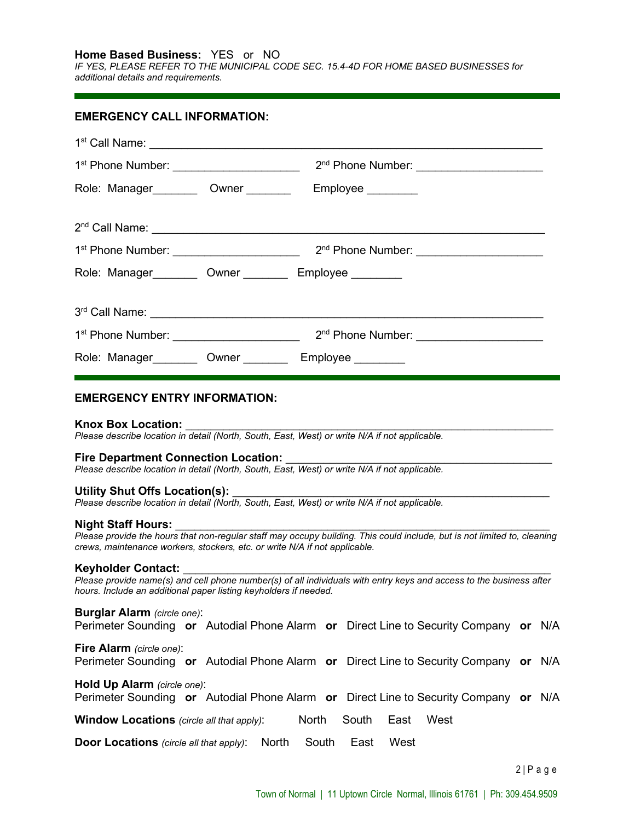**Home Based Business:** YES or NO

*IF YES, PLEASE REFER TO THE MUNICIPAL CODE SEC. 15.4-4D FOR HOME BASED BUSINESSES for additional details and requirements.*

| EMERGENCY CALL INFORMATION:                                 |  |  |
|-------------------------------------------------------------|--|--|
|                                                             |  |  |
|                                                             |  |  |
| Role: Manager__________ Owner __________ Employee _________ |  |  |
|                                                             |  |  |
|                                                             |  |  |
| Role: Manager_________ Owner _________ Employee _________   |  |  |
|                                                             |  |  |
|                                                             |  |  |
| Role: Manager_________ Owner _________ Employee _________   |  |  |
|                                                             |  |  |

### **EMERGENCY ENTRY INFORMATION:**

#### Knox Box Location:

*Please describe location in detail (North, South, East, West) or write N/A if not applicable.*

#### **Fire Department Connection Location:**

*Please describe location in detail (North, South, East, West) or write N/A if not applicable.*

### Utility Shut Offs Location(s):

*Please describe location in detail (North, South, East, West) or write N/A if not applicable.*

#### **Night Staff Hours:** \_\_\_\_\_\_\_\_\_\_\_\_\_\_\_\_\_\_\_\_\_\_\_\_\_\_\_\_\_\_\_\_\_\_\_\_\_\_\_\_\_\_\_\_\_\_\_\_\_\_\_\_\_\_\_\_\_\_\_

*Please provide the hours that non-regular staff may occupy building. This could include, but is not limited to, cleaning crews, maintenance workers, stockers, etc. or write N/A if not applicable.*

#### Keyholder Contact:

*Please provide name(s) and cell phone number(s) of all individuals with entry keys and access to the business after hours. Include an additional paper listing keyholders if needed.*

### **Burglar Alarm** *(circle one)*:

Perimeter Sounding **or** Autodial Phone Alarm **or** Direct Line to Security Company **or** N/A

# **Fire Alarm** *(circle one)*:

Perimeter Sounding **or** Autodial Phone Alarm **or** Direct Line to Security Company **or** N/A

### **Hold Up Alarm** *(circle one)*:

Perimeter Sounding **or** Autodial Phone Alarm **or** Direct Line to Security Company **or** N/A

**Window Locations** *(circle all that apply)*: North South East West

**Door Locations** *(circle all that apply)*: North South East West

2 | Page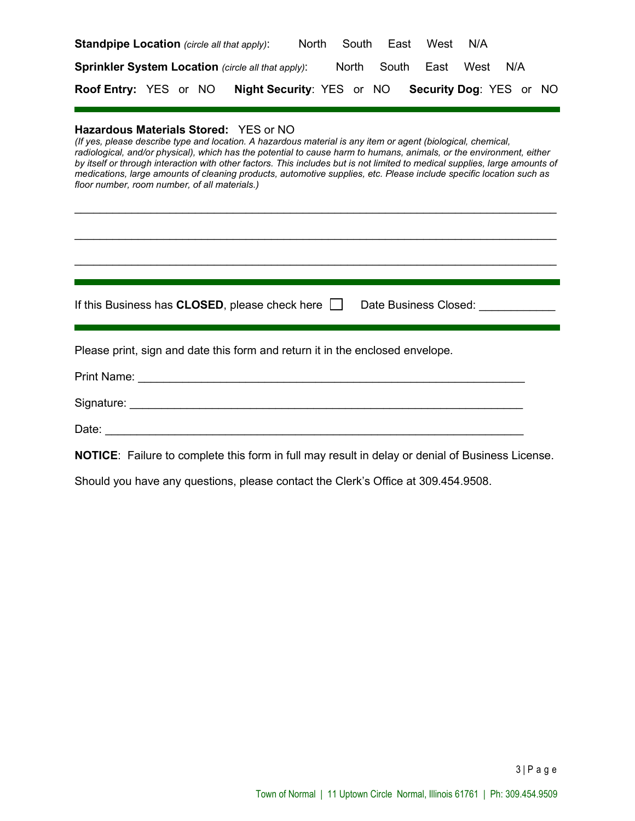| <b>Standpipe Location</b> (circle all that apply):        |                                  | South<br>North | East | West             | N/A  |                                |  |
|-----------------------------------------------------------|----------------------------------|----------------|------|------------------|------|--------------------------------|--|
| <b>Sprinkler System Location (circle all that apply):</b> |                                  |                |      | North South East | West | N/A                            |  |
| <b>Roof Entry: YES or NO</b>                              | <b>Night Security: YES or NO</b> |                |      |                  |      | <b>Security Dog: YES or NO</b> |  |

### **Hazardous Materials Stored:** YES or NO

*(If yes, please describe type and location. A hazardous material is any item or agent (biological, chemical,*  radiological, and/or physical), which has the potential to cause harm to humans, animals, or the environment, either *by itself or through interaction with other factors. This includes but is not limited to medical supplies, large amounts of medications, large amounts of cleaning products, automotive supplies, etc. Please include specific location such as floor number, room number, of all materials.)*

 $\mathcal{L}_\text{max}$  , and the contribution of the contribution of the contribution of the contribution of the contribution of the contribution of the contribution of the contribution of the contribution of the contribution of t

\_\_\_\_\_\_\_\_\_\_\_\_\_\_\_\_\_\_\_\_\_\_\_\_\_\_\_\_\_\_\_\_\_\_\_\_\_\_\_\_\_\_\_\_\_\_\_\_\_\_\_\_\_\_\_\_\_\_\_\_\_\_\_\_\_\_\_\_\_\_\_\_\_\_\_\_

\_\_\_\_\_\_\_\_\_\_\_\_\_\_\_\_\_\_\_\_\_\_\_\_\_\_\_\_\_\_\_\_\_\_\_\_\_\_\_\_\_\_\_\_\_\_\_\_\_\_\_\_\_\_\_\_\_\_\_\_\_\_\_\_\_\_\_\_\_\_\_\_\_\_\_\_

| If this Business has $CLOSED$ , please check here $\Box$ | Date Business Closed: |  |
|----------------------------------------------------------|-----------------------|--|
|                                                          |                       |  |

Please print, sign and date this form and return it in the enclosed envelope.

| <b>Print Name:</b> |  |
|--------------------|--|
| Signature:         |  |
| Date:              |  |

**NOTICE**: Failure to complete this form in full may result in delay or denial of Business License.

Should you have any questions, please contact the Clerk's Office at 309.454.9508.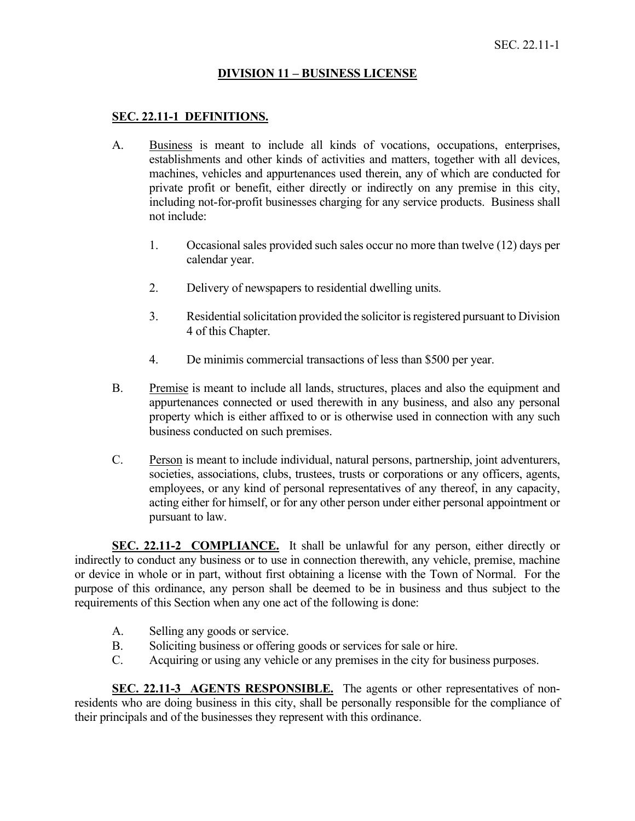### **DIVISION 11 – BUSINESS LICENSE**

### **SEC. 22.11-1 DEFINITIONS.**

- A. Business is meant to include all kinds of vocations, occupations, enterprises, establishments and other kinds of activities and matters, together with all devices, machines, vehicles and appurtenances used therein, any of which are conducted for private profit or benefit, either directly or indirectly on any premise in this city, including not-for-profit businesses charging for any service products. Business shall not include:
	- 1. Occasional sales provided such sales occur no more than twelve (12) days per calendar year.
	- 2. Delivery of newspapers to residential dwelling units.
	- 3. Residential solicitation provided the solicitor is registered pursuant to Division 4 of this Chapter.
	- 4. De minimis commercial transactions of less than \$500 per year.
- B. Premise is meant to include all lands, structures, places and also the equipment and appurtenances connected or used therewith in any business, and also any personal property which is either affixed to or is otherwise used in connection with any such business conducted on such premises.
- C. Person is meant to include individual, natural persons, partnership, joint adventurers, societies, associations, clubs, trustees, trusts or corporations or any officers, agents, employees, or any kind of personal representatives of any thereof, in any capacity, acting either for himself, or for any other person under either personal appointment or pursuant to law.

**SEC. 22.11-2 COMPLIANCE.** It shall be unlawful for any person, either directly or indirectly to conduct any business or to use in connection therewith, any vehicle, premise, machine or device in whole or in part, without first obtaining a license with the Town of Normal. For the purpose of this ordinance, any person shall be deemed to be in business and thus subject to the requirements of this Section when any one act of the following is done:

- A. Selling any goods or service.
- B. Soliciting business or offering goods or services for sale or hire.
- C. Acquiring or using any vehicle or any premises in the city for business purposes.

SEC. 22.11-3 AGENTS RESPONSIBLE. The agents or other representatives of nonresidents who are doing business in this city, shall be personally responsible for the compliance of their principals and of the businesses they represent with this ordinance.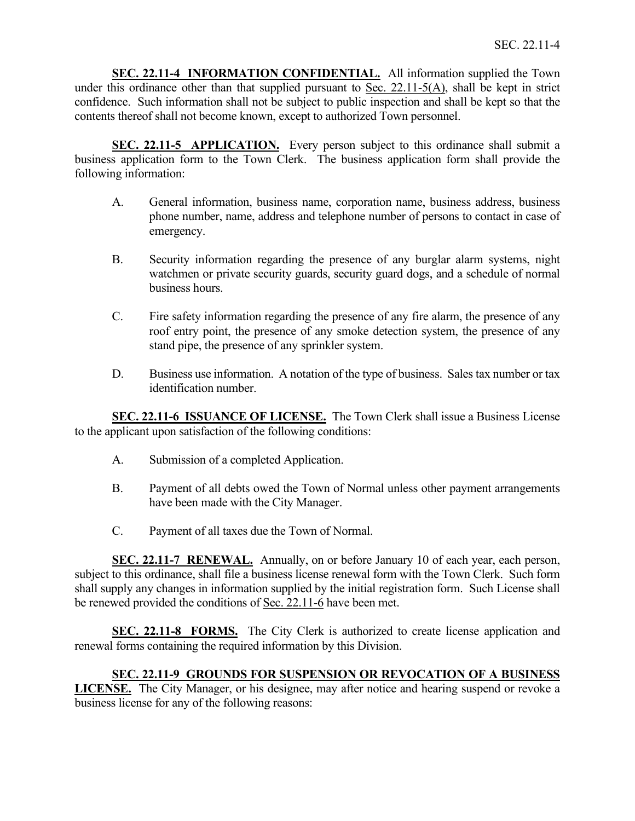**SEC. 22.11-4 INFORMATION CONFIDENTIAL.** All information supplied the Town under this ordinance other than that supplied pursuant to Sec. 22.11-5(A), shall be kept in strict confidence. Such information shall not be subject to public inspection and shall be kept so that the contents thereof shall not become known, except to authorized Town personnel.

**SEC. 22.11-5 APPLICATION.** Every person subject to this ordinance shall submit a business application form to the Town Clerk. The business application form shall provide the following information:

- A. General information, business name, corporation name, business address, business phone number, name, address and telephone number of persons to contact in case of emergency.
- B. Security information regarding the presence of any burglar alarm systems, night watchmen or private security guards, security guard dogs, and a schedule of normal business hours.
- C. Fire safety information regarding the presence of any fire alarm, the presence of any roof entry point, the presence of any smoke detection system, the presence of any stand pipe, the presence of any sprinkler system.
- D. Business use information. A notation of the type of business. Sales tax number or tax identification number.

**SEC. 22.11-6 ISSUANCE OF LICENSE.** The Town Clerk shall issue a Business License to the applicant upon satisfaction of the following conditions:

- A. Submission of a completed Application.
- B. Payment of all debts owed the Town of Normal unless other payment arrangements have been made with the City Manager.
- C. Payment of all taxes due the Town of Normal.

**SEC. 22.11-7 RENEWAL.** Annually, on or before January 10 of each year, each person, subject to this ordinance, shall file a business license renewal form with the Town Clerk. Such form shall supply any changes in information supplied by the initial registration form. Such License shall be renewed provided the conditions of Sec. 22.11-6 have been met.

**SEC. 22.11-8 FORMS.** The City Clerk is authorized to create license application and renewal forms containing the required information by this Division.

**SEC. 22.11-9 GROUNDS FOR SUSPENSION OR REVOCATION OF A BUSINESS LICENSE.** The City Manager, or his designee, may after notice and hearing suspend or revoke a business license for any of the following reasons: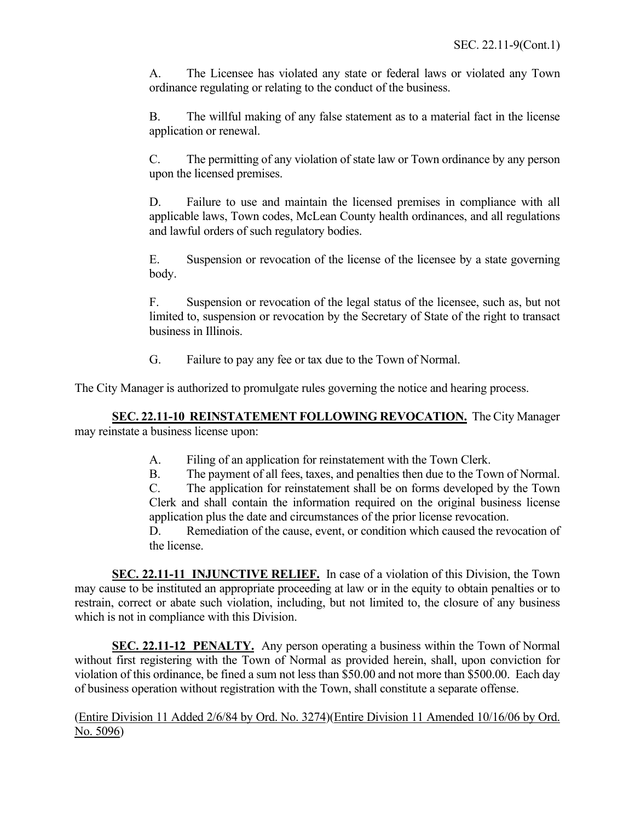A. The Licensee has violated any state or federal laws or violated any Town ordinance regulating or relating to the conduct of the business.

B. The willful making of any false statement as to a material fact in the license application or renewal.

C. The permitting of any violation of state law or Town ordinance by any person upon the licensed premises.

D. Failure to use and maintain the licensed premises in compliance with all applicable laws, Town codes, McLean County health ordinances, and all regulations and lawful orders of such regulatory bodies.

E. Suspension or revocation of the license of the licensee by a state governing body.

F. Suspension or revocation of the legal status of the licensee, such as, but not limited to, suspension or revocation by the Secretary of State of the right to transact business in Illinois.

G. Failure to pay any fee or tax due to the Town of Normal.

The City Manager is authorized to promulgate rules governing the notice and hearing process.

**SEC. 22.11-10 REINSTATEMENT FOLLOWING REVOCATION.** The City Manager may reinstate a business license upon:

- A. Filing of an application for reinstatement with the Town Clerk.
- B. The payment of all fees, taxes, and penalties then due to the Town of Normal.

C. The application for reinstatement shall be on forms developed by the Town Clerk and shall contain the information required on the original business license application plus the date and circumstances of the prior license revocation.

D. Remediation of the cause, event, or condition which caused the revocation of the license.

**SEC. 22.11-11 INJUNCTIVE RELIEF.** In case of a violation of this Division, the Town may cause to be instituted an appropriate proceeding at law or in the equity to obtain penalties or to restrain, correct or abate such violation, including, but not limited to, the closure of any business which is not in compliance with this Division.

**SEC. 22.11-12 PENALTY.** Any person operating a business within the Town of Normal without first registering with the Town of Normal as provided herein, shall, upon conviction for violation of this ordinance, be fined a sum not less than \$50.00 and not more than \$500.00. Each day of business operation without registration with the Town, shall constitute a separate offense.

(Entire Division 11 Added 2/6/84 by Ord. No. 3274)(Entire Division 11 Amended 10/16/06 by Ord. No. 5096)